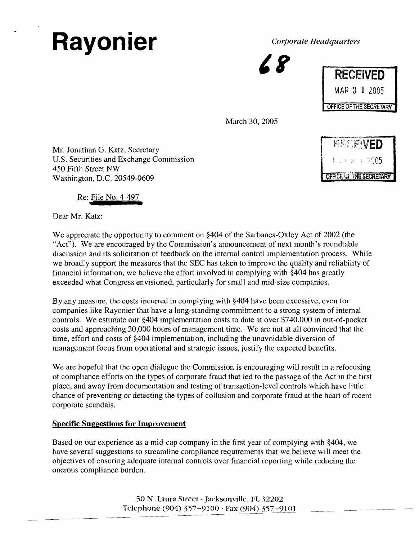# Rayonier *Corporate Headquarters*

| <b>RECEIVED</b>         |  |  |              |
|-------------------------|--|--|--------------|
|                         |  |  | MAR 3 1 2005 |
| OFFICE OF THE SECRETARY |  |  |              |

March 30, 2005

Mr. Jonathan G. Katz, Secretary U.S. Securities and Exchange Commission 450 Fifth Street NW Washington, D.C. 20549-0609 an G. Katz, Secretar<br>ties and Exchange C<br>treet NW<br>1, D.C. 20549-0609<br>File No. 4-497<br>atz:<br>ate the opportunity



Re: <u>File No. 4-497</u>

Dear Mr. Katz:

We appreciate the opportunity to comment on \$404 of the Sarbanes-Oxley Act of 2002 (the "Act"). We are encouraged by the Commission's announcement of next month's roundtable discussion and its solicitation of feedback on the internal control implementation process. While we broadly support the measures that the SEC has taken to improve the quality and reliability of financial information, we believe the effort involved in complying with \$404 has greatly exceeded what Congress envisioned, particularly for small and mid-size companies.

By any measure, the costs incurred in complying with \$404 have been excessive, even for companies like Rayonier that have a long-standing commitment to a strong system of internal controls. We estimate our \$404 implementation costs to date at over \$740,000 in out-of-pocket costs and approaching 20,000 hours of management time. We are not at all convinced that the time, effort and costs of \$404 implementation, including the unavoidable diversion of management focus from operational and strategic issues, justify the expected benefits.

We are hopeful that the open dialogue the Commission is encouraging will result in a refocusing of compliance efforts on the types of corporate fraud that led to the passage of the Act in the first place, and away from documentation and testing of transaction-level controls which have little chance of preventing or detecting the types of collusion and corporate fraud at the heart of recent corporate scandals.

# **Specific Suggestions for Improvement**

Based on our experience as a mid-cap company in the first year of complying with \$404, we have several suggestions to streamline compliance requirements that we believe will meet the objectives of ensuring adequate internal controls over financial reporting while reducing the onerous compliance burden.

> 50 N. Laura Street .Jacksonville, FL 32202 Telephone (904) 357-9100 . Fax (904) 357-9101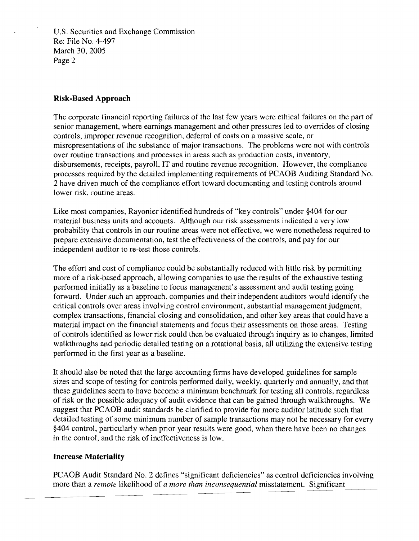U.S. Securities and Exchange Commission Re: File No. 4-497 March 30,2005 Page 2

### **Risk-Based Approach**

The corporate financial reporting failures of the last few years were ethical failures on the part of senior management, where earnings management and other pressures led to overrides of closing controls, improper revenue recognition, deferral of costs on a massive scale, or misrepresentations of the substance of major transactions. The problems were not with controls over routine transactions and processes in areas such as production costs, inventory, disbursements, receipts, payroll, IT and routine revenue recognition. However, the compliance processes required by the detailed implementing requirements of PCAOB Auditing Standard No. 2 have driven much of the compliance effort toward documenting and testing controls around lower risk, routine areas.

Like most companies, Rayonier identified hundreds of "key controls" under \$404 for our material business units and accounts. Although our risk assessments indicated a very low probability that controls in our routine areas were not effective, we were nonetheless required to prepare extensive documentation, test the effectiveness of the controls, and pay for our independent auditor to re-test those controls.

The effort and cost of compliance could be substantially reduced with little risk by permitting more of a risk-based approach, allowing companies to use the results of the exhaustive testing performed initially as a baseline to focus management's assessment and audit testing going forward. Under such an approach, companies and their independent auditors would identify the critical controls over areas involving control environment, substantial management judgment, complex transactions, financial closing and consolidation, and other key areas that could have a material impact on the financial statements and focus their assessments on those areas. Testing of controls identified as lower risk could then be evaluated through inquiry as to changes, limited walkthroughs and periodic detailed testing on a rotational basis, all utilizing the extensive testing performed in the first year as a baseline.

It should also be noted that the large accounting firms have developed guidelines for sample sizes and scope of testing for controls performed daily, weekly, quarterly and annually, and that these guidelines seem to have become a minimum benchmark for testing all controls, regardless of risk or the possible adequacy of audit evidence that can be gained through walkthroughs. We suggest that PCAOB audit standards be clarified to provide for more auditor latitude such that detailed testing of some minimum number of sample transactions may not be necessary for every \$404 control, particularly when prior year results were good, when there have been no changes in the control, and the risk of ineffectiveness is low.

#### **Increase Materiality**

PCAOB Audit Standard No. 2 defines "significant deficiencies" as control deficiencies involving more than a *remote* likelihood of *a more than inconsequential* misstatement. Significant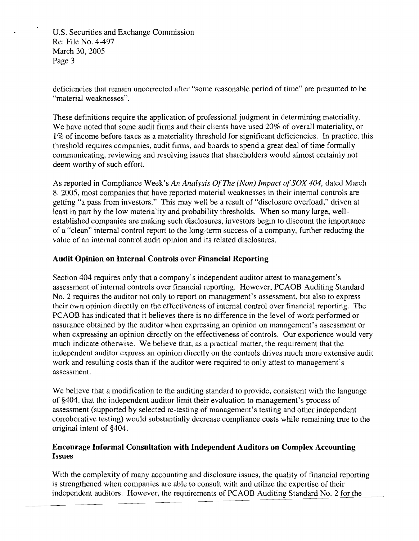U.S. Securities and Exchange Commission Re: File No. 4-497 March 30,2005 Page 3

deficiencies that remain uncorrected after "some reasonable period of time" are presumed to be "material weaknesses".

These definitions require the application of professional judgment in determining materiality. We have noted that some audit firms and their clients have used 20% of overall materiality, or 1% of income before taxes as a materiality threshold for significant deficiencies. In practice, this threshold requires companies, audit firms, and boards to spend a great deal of time formally communicating, reviewing and resolving issues that shareholders would almost certainly not deem worthy of such effort.

As reported in Compliance Week's *An Analysis* Of *The (Nan) Impact of SOX 404,* dated March 8, 2005, most companies that have reported material weaknesses in their internal controls are getting "a pass from investors." This may well be a result of "disclosure overload," driven at least in part by the low materiality and probability thresholds. When so many large, wellestablished companies are making such disclosures, investors begin to discount the importance of a "clean" internal control report to the long-term success of a company, further reducing the value of an internal control audit opinion and its related disclosures.

## **Audit Opinion on Internal Controls over Financial Reporting**

Section 404 requires only that a company's independent auditor attest to management's assessment of internal controls over financial reporting. However, PCAOB Auditing Standard No. 2 requires the auditor not only to report on management's assessment, but also to express their own opinion directly on the effectiveness of internal control over financial reporting. The PCAOB has indicated that it believes there is no difference in the level of work performed or assurance obtained by the auditor when expressing an opinion on management's assessment or when expressing an opinion directly on the effectiveness of controls. Our experience would very much indicate otherwise. We believe that, as a practical matter, the requirement that the independent auditor express an opinion directly on the controls drives much more extensive audit work and resulting costs than if the auditor were required to only attest to management's assessment.

We believe that a modification to the auditing standard to provide, consistent with the language of \$404, that the independent auditor limit their evaluation to management's process of assessment (supported by selected re-testing of management's testing and other independent corroborative testing) would substantially decrease compliance costs while remaining true to the original intent of \$404.

#### **Encourage Informal Consultation with Independent Auditors on Complex Accounting Issues**

With the complexity of many accounting and disclosure issues, the quality of financial reporting is strengthened when companies are able to consult with and utilize the expertise of their independent auditors. However, the requirements of PCAOB Auditing Standard No. 2 for the